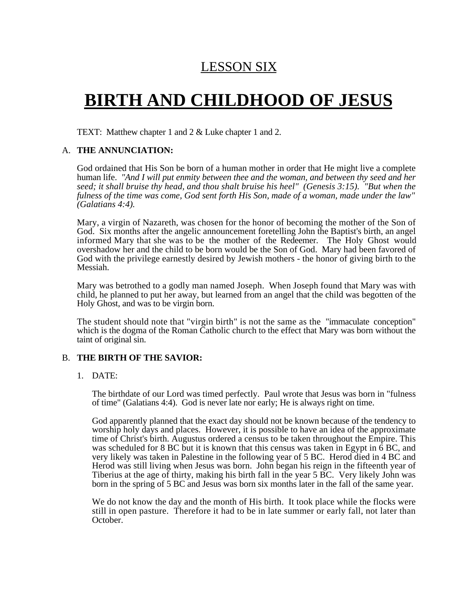## LESSON SIX

# **BIRTH AND CHILDHOOD OF JESUS**

TEXT: Matthew chapter 1 and 2 & Luke chapter 1 and 2.

#### A. **THE ANNUNCIATION:**

God ordained that His Son be born of a human mother in order that He might live a complete human life. *"And I will put enmity between thee and the woman, and between thy seed and her seed; it shall bruise thy head, and thou shalt bruise his heel" (Genesis 3:15). "But when the fulness of the time was come, God sent forth His Son, made of a woman, made under the law" (Galatians 4:4).*

Mary, a virgin of Nazareth, was chosen for the honor of becoming the mother of the Son of God. Six months after the angelic announcement foretelling John the Baptist's birth, an angel informed Mary that she was to be the mother of the Redeemer. The Holy Ghost would overshadow her and the child to be born would be the Son of God. Mary had been favored of God with the privilege earnestly desired by Jewish mothers - the honor of giving birth to the Messiah.

Mary was betrothed to a godly man named Joseph. When Joseph found that Mary was with child, he planned to put her away, but learned from an angel that the child was begotten of the Holy Ghost, and was to be virgin born.

The student should note that "virgin birth" is not the same as the "immaculate conception" which is the dogma of the Roman Catholic church to the effect that Mary was born without the taint of original sin.

#### B. **THE BIRTH OF THE SAVIOR:**

#### 1. DATE:

The birthdate of our Lord was timed perfectly. Paul wrote that Jesus was born in "fulness of time" (Galatians 4:4). God is never late nor early; He is always right on time.

God apparently planned that the exact day should not be known because of the tendency to worship holy days and places. However, it is possible to have an idea of the approximate time of Christ's birth. Augustus ordered a census to be taken throughout the Empire. This was scheduled for 8 BC but it is known that this census was taken in Egypt in 6 BC, and very likely was taken in Palestine in the following year of 5 BC. Herod died in 4 BC and Herod was still living when Jesus was born. John began his reign in the fifteenth year of Tiberius at the age of thirty, making his birth fall in the year 5 BC. Very likely John was born in the spring of 5 BC and Jesus was born six months later in the fall of the same year.

We do not know the day and the month of His birth. It took place while the flocks were still in open pasture. Therefore it had to be in late summer or early fall, not later than October.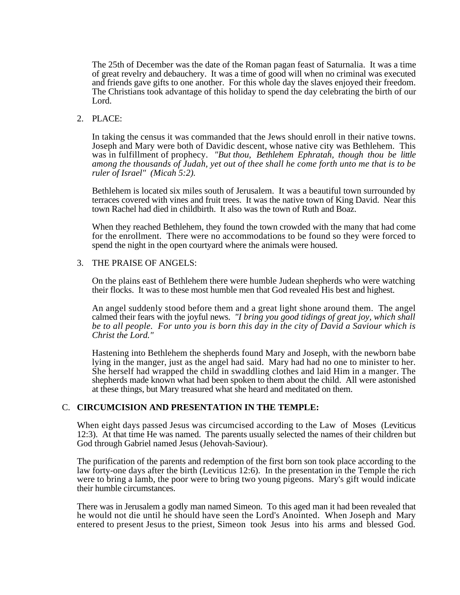The 25th of December was the date of the Roman pagan feast of Saturnalia. It was a time of great revelry and debauchery. It was a time of good will when no criminal was executed and friends gave gifts to one another. For this whole day the slaves enjoyed their freedom. The Christians took advantage of this holiday to spend the day celebrating the birth of our Lord.

#### 2. PLACE:

In taking the census it was commanded that the Jews should enroll in their native towns. Joseph and Mary were both of Davidic descent, whose native city was Bethlehem. This was in fulfillment of prophecy. *"But thou, Bethlehem Ephratah, though thou be little among the thousands of Judah, yet out of thee shall he come forth unto me that is to be ruler of Israel" (Micah 5:2).*

Bethlehem is located six miles south of Jerusalem. It was a beautiful town surrounded by terraces covered with vines and fruit trees. It was the native town of King David. Near this town Rachel had died in childbirth. It also was the town of Ruth and Boaz.

When they reached Bethlehem, they found the town crowded with the many that had come for the enrollment. There were no accommodations to be found so they were forced to spend the night in the open courtyard where the animals were housed.

#### 3. THE PRAISE OF ANGELS:

On the plains east of Bethlehem there were humble Judean shepherds who were watching their flocks. It was to these most humble men that God revealed His best and highest.

An angel suddenly stood before them and a great light shone around them. The angel calmed their fears with the joyful news. *"I bring you good tidings of great joy, which shall be to all people. For unto you is born this day in the city of David a Saviour which is Christ the Lord."*

Hastening into Bethlehem the shepherds found Mary and Joseph, with the newborn babe lying in the manger, just as the angel had said. Mary had had no one to minister to her. She herself had wrapped the child in swaddling clothes and laid Him in a manger. The shepherds made known what had been spoken to them about the child. All were astonished at these things, but Mary treasured what she heard and meditated on them.

#### C. **CIRCUMCISION AND PRESENTATION IN THE TEMPLE:**

When eight days passed Jesus was circumcised according to the Law of Moses (Leviticus 12:3). At that time He was named. The parents usually selected the names of their children but God through Gabriel named Jesus (Jehovah-Saviour).

The purification of the parents and redemption of the first born son took place according to the law forty-one days after the birth (Leviticus 12:6). In the presentation in the Temple the rich were to bring a lamb, the poor were to bring two young pigeons. Mary's gift would indicate their humble circumstances.

There was in Jerusalem a godly man named Simeon. To this aged man it had been revealed that he would not die until he should have seen the Lord's Anointed. When Joseph and Mary entered to present Jesus to the priest, Simeon took Jesus into his arms and blessed God.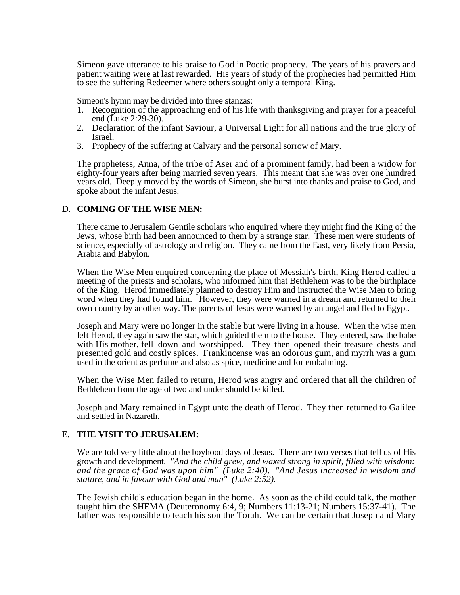Simeon gave utterance to his praise to God in Poetic prophecy. The years of his prayers and patient waiting were at last rewarded. His years of study of the prophecies had permitted Him to see the suffering Redeemer where others sought only a temporal King.

Simeon's hymn may be divided into three stanzas:

- 1. Recognition of the approaching end of his life with thanksgiving and prayer for a peaceful end (Luke 2:29-30).
- 2. Declaration of the infant Saviour, a Universal Light for all nations and the true glory of Israel.
- 3. Prophecy of the suffering at Calvary and the personal sorrow of Mary.

The prophetess, Anna, of the tribe of Aser and of a prominent family, had been a widow for eighty-four years after being married seven years. This meant that she was over one hundred years old. Deeply moved by the words of Simeon, she burst into thanks and praise to God, and spoke about the infant Jesus.

#### D. **COMING OF THE WISE MEN:**

There came to Jerusalem Gentile scholars who enquired where they might find the King of the Jews, whose birth had been announced to them by a strange star. These men were students of science, especially of astrology and religion. They came from the East, very likely from Persia, Arabia and Babylon.

When the Wise Men enquired concerning the place of Messiah's birth, King Herod called a meeting of the priests and scholars, who informed him that Bethlehem was to be the birthplace of the King. Herod immediately planned to destroy Him and instructed the Wise Men to bring word when they had found him. However, they were warned in a dream and returned to their own country by another way. The parents of Jesus were warned by an angel and fled to Egypt.

Joseph and Mary were no longer in the stable but were living in a house. When the wise men left Herod, they again saw the star, which guided them to the house. They entered, saw the babe with His mother, fell down and worshipped. They then opened their treasure chests and presented gold and costly spices. Frankincense was an odorous gum, and myrrh was a gum used in the orient as perfume and also as spice, medicine and for embalming.

When the Wise Men failed to return, Herod was angry and ordered that all the children of Bethlehem from the age of two and under should be killed.

Joseph and Mary remained in Egypt unto the death of Herod. They then returned to Galilee and settled in Nazareth.

#### E. **THE VISIT TO JERUSALEM:**

We are told very little about the boyhood days of Jesus. There are two verses that tell us of His growth and development. *"And the child grew, and waxed strong in spirit, filled with wisdom: and the grace of God was upon him" (Luke 2:40). "And Jesus increased in wisdom and stature, and in favour with God and man" (Luke 2:52).*

The Jewish child's education began in the home. As soon as the child could talk, the mother taught him the SHEMA (Deuteronomy 6:4, 9; Numbers 11:13-21; Numbers 15:37-41). The father was responsible to teach his son the Torah. We can be certain that Joseph and Mary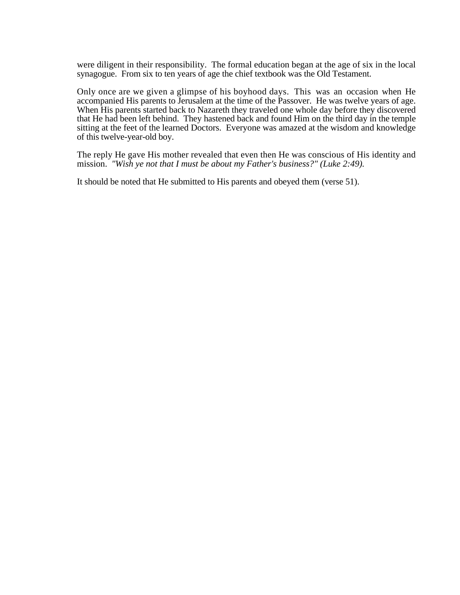were diligent in their responsibility. The formal education began at the age of six in the local synagogue. From six to ten years of age the chief textbook was the Old Testament.

Only once are we given a glimpse of his boyhood days. This was an occasion when He accompanied His parents to Jerusalem at the time of the Passover. He was twelve years of age. When His parents started back to Nazareth they traveled one whole day before they discovered that He had been left behind. They hastened back and found Him on the third day in the temple sitting at the feet of the learned Doctors. Everyone was amazed at the wisdom and knowledge of this twelve-year-old boy.

The reply He gave His mother revealed that even then He was conscious of His identity and mission. *"Wish ye not that I must be about my Father's business?" (Luke 2:49).*

It should be noted that He submitted to His parents and obeyed them (verse 51).